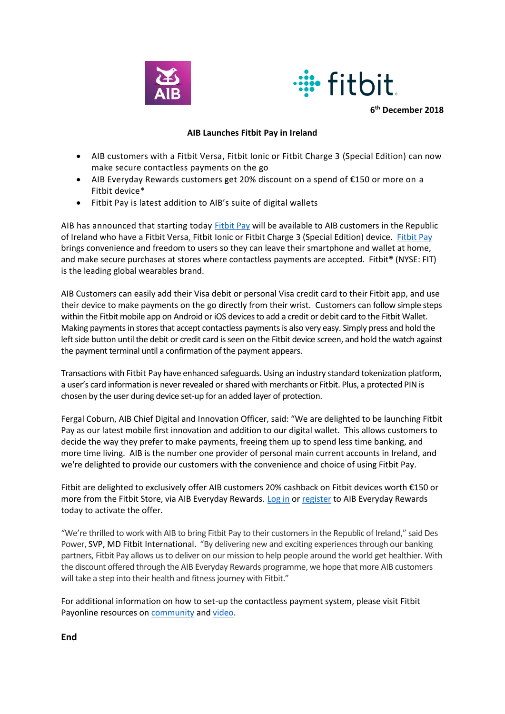



**6 th December 2018**

## **AIB Launches Fitbit Pay in Ireland**

- AIB customers with a Fitbit Versa, Fitbit Ionic or Fitbit Charge 3 (Special Edition) can now make secure contactless payments on the go
- AIB Everyday Rewards customers get 20% discount on a spend of €150 or more on a Fitbit device\*
- Fitbit Pay is latest addition to AIB's suite of digital wallets

AIB has announced that starting today [Fitbit Pay](https://www.fitbit.com/eu/fitbit-pay) will be available to AIB customers in the Republic of Ireland who have a Fitbit Versa, Fitbit Ionic or Fitbit Charge 3 (Special Edition) device. [Fitbit Pay](http://www.fitbit.com/eu/fitbit-pay) brings convenience and freedom to users so they can leave their smartphone and wallet at home, and make secure purchases at stores where contactless payments are accepted. Fitbit® (NYSE: FIT) is the leading global wearables brand.

AIB Customers can easily add their Visa debit or personal Visa credit card to their Fitbit app, and use their device to make payments on the go directly from their wrist. Customers can follow simple steps within the Fitbit mobile app on Android or iOS devices to add a credit or debit card to the Fitbit Wallet. Making payments in stores that accept contactless payments is also very easy. Simply press and hold the left side button until the debit or credit card is seen on the Fitbit device screen, and hold the watch against the payment terminal until a confirmation of the payment appears.

Transactions with Fitbit Pay have enhanced safeguards. Using an industry standard tokenization platform, a user's card information is never revealed or shared with merchants or Fitbit. Plus, a protected PIN is chosen by the user during device set-up for an added layer of protection.

Fergal Coburn, AIB Chief Digital and Innovation Officer, said: "We are delighted to be launching Fitbit Pay as our latest mobile first innovation and addition to our digital wallet. This allows customers to decide the way they prefer to make payments, freeing them up to spend less time banking, and more time living. AIB is the number one provider of personal main current accounts in Ireland, and we're delighted to provide our customers with the convenience and choice of using Fitbit Pay.

Fitbit are delighted to exclusively offer AIB customers 20% cashback on Fitbit devices worth €150 or more from the Fitbit Store, via AIB Everyday Rewards. [Log in](https://aib.visaoffers.eu/) or [register](https://aib.visaoffers.eu/) to AIB Everyday Rewards today to activate the offer.

"We're thrilled to work with AIB to bring Fitbit Pay to their customersin the Republic of Ireland," said Des Power, SVP, MD Fitbit International. "By delivering new and exciting experiences through our banking partners, Fitbit Pay allows us to deliver on our mission to help people around the world get healthier. With the discount offered through the AIB Everyday Rewards programme, we hope that more AIB customers will take a step into their health and fitness journey with Fitbit."

For additional information on how to set-up the contactless payment system, please visit Fitbit Payonline resources on [community](https://help.fitbit.com/articles/en_US/Help_article/2236) and [video.](https://www.youtube.com/watch?v=zPxUNl1dklA)